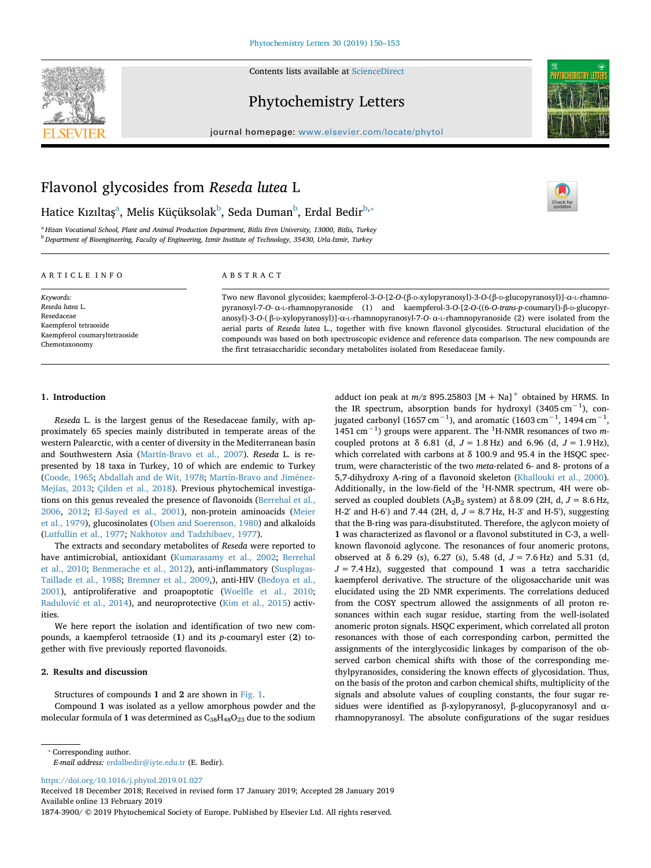



 $\frac{N}{2}$ 

## Phytochemistry Letters

journal homepage: [www.elsevier.com/locate/phytol](https://www.elsevier.com/locate/phytol)

# Flavonol glycosides from *Reseda lutea* L

H[a](#page-0-0)tice Kızıltaş<sup>a</sup>, Melis Küçüksolak<sup>[b](#page-0-1)</sup>, Seda Duman<sup>b</sup>, Erdal Bedir<sup>b,</sup>\*

<span id="page-0-1"></span><span id="page-0-0"></span><sup>a</sup> *Hizan Vocational School, Plant and Animal Production Department, Bitlis Eren University, 13000, Bitlis, Turkey* <sup>b</sup> *Department of Bioengineering, Faculty of Engineering, Izmir Institute of Technology, 35430, Urla-Izmir, Turkey*

#### ARTICLE INFO

*Keywords: Reseda lutea* L. Resedaceae Kaempferol tetraoside Kaempferol coumaryltetraoside Chemotaxonomy

#### ABSTRACT

Two new flavonol glycosides; kaempferol-3-*O*-[2-*O*-(β-D-xylopyranosyl)-3-*O*-(β-D-glucopyranosyl)]-α-L-rhamnopyranosyl-7-*O*- α-L-rhamnopyranoside (1) and kaempferol-3-*O*-[2-*O*-((6-*O*-*trans*-*p*-coumaryl)-β-D-glucopyranosyl)-3-*O*-( β-D-xylopyranosyl)]-α-L-rhamnopyranosyl-7-*O*- α-L-rhamnopyranoside (2) were isolated from the aerial parts of *Reseda lutea* L., together with five known flavonol glycosides. Structural elucidation of the compounds was based on both spectroscopic evidence and reference data comparison. The new compounds are the first tetrasaccharidic secondary metabolites isolated from Resedaceae family.

## **1. Introduction**

*Reseda* L. is the largest genus of the Resedaceae family, with approximately 65 species mainly distributed in temperate areas of the western Palearctic, with a center of diversity in the Mediterranean basin and Southwestern Asia [\(Martín-Bravo et al., 2007\)](#page-3-0). *Reseda* L. is represented by 18 taxa in Turkey, 10 of which are endemic to Turkey ([Coode, 1965](#page-3-1); [Abdallah and de Wit, 1978;](#page-3-2) [Martín-Bravo and Jiménez-](#page-3-3)[Mejías, 2013;](#page-3-3) [Çilden et al., 2018](#page-3-4)). Previous phytochemical investigations on this genus revealed the presence of flavonoids ([Berrehal et al.,](#page-3-5) [2006,](#page-3-5) [2012](#page-3-6); [El-Sayed et al., 2001\)](#page-3-7), non-protein aminoacids [\(Meier](#page-3-8) [et al., 1979\)](#page-3-8), glucosinolates [\(Olsen and Soerenson, 1980](#page-3-9)) and alkaloids ([Lutfullin et al., 1977](#page-3-10); [Nakhotov and Tadzhibaev, 1977](#page-3-11)).

The extracts and secondary metabolites of *Reseda* were reported to have antimicrobial, antioxidant [\(Kumarasamy et al., 2002;](#page-3-12) [Berrehal](#page-3-13) [et al., 2010](#page-3-13); [Benmerache et al., 2012\)](#page-3-14), anti-inflammatory [\(Susplugas-](#page-3-15)[Taillade et al., 1988](#page-3-15); [Bremner et al., 2009,](#page-3-16)), anti-HIV ([Bedoya et al.,](#page-3-17) [2001\)](#page-3-17), antiproliferative and proapoptotic ([Woelfle et al., 2010](#page-3-18); [Radulović et al., 2014\)](#page-3-19), and neuroprotective ([Kim et al., 2015\)](#page-3-20) activities.

We here report the isolation and identification of two new compounds, a kaempferol tetraoside (**1**) and its *p*-coumaryl ester (**2**) together with five previously reported flavonoids.

## **2. Results and discussion**

Structures of compounds **1** and **2** are shown in [Fig. 1](#page-1-0).

Compound **1** was isolated as a yellow amorphous powder and the molecular formula of 1 was determined as  $C_{38}H_{48}O_{23}$  due to the sodium adduct ion peak at  $m/z$  895.25803  $[M + Na]$ <sup>+</sup> obtained by HRMS. In the IR spectrum, absorption bands for hydroxyl (3405 cm<sup>-1</sup>), conjugated carbonyl (1657 cm<sup>-1</sup>), and aromatic (1603 cm<sup>-1</sup>, 1494 cm<sup>-1</sup>, 1451 cm−1) groups were apparent. The <sup>1</sup> H-NMR resonances of two *m*coupled protons at  $\delta$  6.81 (d,  $J = 1.8$  Hz) and 6.96 (d,  $J = 1.9$  Hz), which correlated with carbons at  $\delta$  100.9 and 95.4 in the HSQC spectrum, were characteristic of the two *meta*-related 6- and 8- protons of a 5,7-dihydroxy A-ring of a flavonoid skeleton ([Khallouki et al., 2000](#page-3-21)). Additionally, in the low-field of the  ${}^{1}$ H-NMR spectrum, 4H were observed as coupled doublets (A<sub>2</sub>B<sub>2</sub> system) at  $\delta$  8.09 (2H, d, J = 8.6 Hz, H-2' and H-6') and 7.44 (2H, d, *J* = 8.7 Hz, H-3' and H-5'), suggesting that the B-ring was para-disubstituted. Therefore, the aglycon moiety of **1** was characterized as flavonol or a flavonol substituted in C-3, a wellknown flavonoid aglycone. The resonances of four anomeric protons, observed at δ 6.29 (s), 6.27 (s), 5.48 (d, *J* = 7.6 Hz) and 5.31 (d,  $J = 7.4$  Hz), suggested that compound 1 was a tetra saccharidic kaempferol derivative. The structure of the oligosaccharide unit was elucidated using the 2D NMR experiments. The correlations deduced from the COSY spectrum allowed the assignments of all proton resonances within each sugar residue, starting from the well-isolated anomeric proton signals. HSQC experiment, which correlated all proton resonances with those of each corresponding carbon, permitted the assignments of the interglycosidic linkages by comparison of the observed carbon chemical shifts with those of the corresponding methylpyranosides, considering the known effects of glycosidation. Thus, on the basis of the proton and carbon chemical shifts, multiplicity of the signals and absolute values of coupling constants, the four sugar residues were identified as β-xylopyranosyl, β-glucopyranosyl and αrhamnopyranosyl. The absolute configurations of the sugar residues

<span id="page-0-2"></span>⁎ Corresponding author.

*E-mail address:* [erdalbedir@iyte.edu.tr](mailto:erdalbedir@iyte.edu.tr) (E. Bedіr).

<https://doi.org/10.1016/j.phytol.2019.01.027>

Received 18 December 2018; Received in revised form 17 January 2019; Accepted 28 January 2019 Available online 13 February 2019

1874-3900/ © 2019 Phytochemical Society of Europe. Published by Elsevier Ltd. All rights reserved.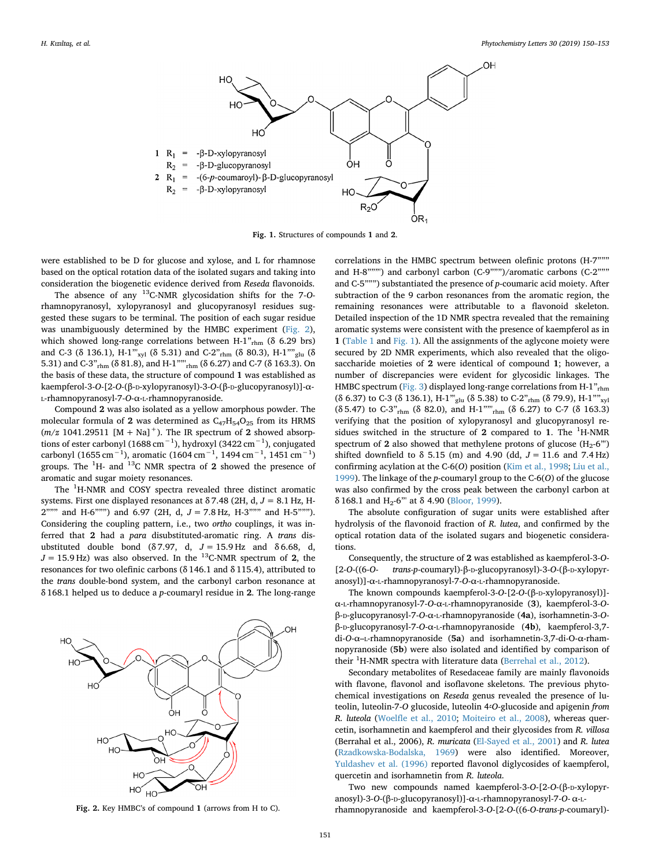<span id="page-1-0"></span>

**Fig. 1.** Structures of compounds **1** and **2**.

were established to be D for glucose and xylose, and L for rhamnose based on the optical rotation data of the isolated sugars and taking into consideration the biogenetic evidence derived from *Reseda* flavonoids.

The absence of any 13C-NMR glycosidation shifts for the 7-*O*rhamnopyranosyl, xylopyranosyl and glucopyranosyl residues suggested these sugars to be terminal. The position of each sugar residue was unambiguously determined by the HMBC experiment [\(Fig. 2](#page-1-1)), which showed long-range correlations between H-1 $v_{\text{rhm}}$  ( $\delta$  6.29 brs) and C-3 (δ 136.1), H-1"'<sub>xvl</sub> (δ 5.31) and C-2"<sub>rhm</sub> (δ 80.3), H-1""<sub>glu</sub> (δ 5.31) and C-3"rhm (δ 81.8), and H-1""'rhm (δ 6.27) and C-7 (δ 163.3). On the basis of these data, the structure of compound **1** was established as kaempferol-3-*O*-[2-*O*-(β-D-xylopyranosyl)-3-*O*-(β-D-glucopyranosyl)]-α-L-rhamnopyranosyl-7-*O*-α-L-rhamnopyranoside.

Compound **2** was also isolated as a yellow amorphous powder. The molecular formula of 2 was determined as  $C_{47}H_{54}O_{25}$  from its HRMS  $(m/z 1041.29511 [M + Na]<sup>+</sup>$ ). The IR spectrum of 2 showed absorptions of ester carbonyl (1688 cm−1), hydroxyl (3422 cm−1), conjugated carbonyl (1655 cm<sup>-1</sup>), aromatic (1604 cm<sup>-1</sup>, 1494 cm<sup>-1</sup>, 1451 cm<sup>-1</sup>) groups. The <sup>1</sup> H- and 13C NMR spectra of **2** showed the presence of aromatic and sugar moiety resonances.

The <sup>1</sup>H-NMR and COSY spectra revealed three distinct aromatic systems. First one displayed resonances at δ 7.48 (2H, d, *J* = 8.1 Hz, H-2""" and H-6""") and 6.97 (2H, d, *J* = 7.8 Hz, H-3""" and H-5"""). Considering the coupling pattern, i.e., two *ortho* couplings, it was inferred that **2** had a *para* disubstituted-aromatic ring. A *trans* disubstituted double bond (δ 7.97, d, *J* = 15.9 Hz and δ 6.68, d,  $J = 15.9$  Hz) was also observed. In the <sup>13</sup>C-NMR spectrum of **2**, the resonances for two olefinic carbons (δ 146.1 and δ 115.4), attributed to the *trans* double-bond system, and the carbonyl carbon resonance at δ 168.1 helped us to deduce a *p*-coumaryl residue in **2**. The long-range

<span id="page-1-1"></span>

**Fig. 2.** Key HMBC's of compound **1** (arrows from H to C).

correlations in the HMBC spectrum between olefinic protons (H-7""" and H-8"""') and carbonyl carbon (C-9""")/aromatic carbons (C-2""" and C-5""") substantiated the presence of *p*-coumaric acid moiety. After subtraction of the 9 carbon resonances from the aromatic region, the remaining resonances were attributable to a flavonoid skeleton. Detailed inspection of the 1D NMR spectra revealed that the remaining aromatic systems were consistent with the presence of kaempferol as in **1** [\(Table 1](#page-2-0) and [Fig. 1\)](#page-1-0). All the assignments of the aglycone moiety were secured by 2D NMR experiments, which also revealed that the oligosaccharide moieties of **2** were identical of compound **1**; however, a number of discrepancies were evident for glycosidic linkages. The HMBC spectrum [\(Fig. 3\)](#page-2-1) displayed long-range correlations from H-1"<sub>rhm</sub> (δ 6.37) to C-3 (δ 136.1), H-1<sup>"'</sup><sub>glu</sub> (δ 5.38) to C-2"<sub>rhm</sub> (δ 79.9), H-1<sup>""</sup><sub>xvl</sub> (δ 5.47) to C-3"rhm (δ 82.0), and H-1""'rhm (δ 6.27) to C-7 (δ 163.3) verifying that the position of xylopyranosyl and glucopyranosyl residues switched in the structure of 2 compared to 1. The <sup>1</sup>H-NMR spectrum of  $2$  also showed that methylene protons of glucose  $(H_2-6'')$ shifted downfield to  $\delta$  5.15 (m) and 4.90 (dd,  $J = 11.6$  and 7.4 Hz) confirming acylation at the C-6(*O*) position ([Kim et al., 1998](#page-3-22); [Liu et al.,](#page-3-23) [1999\)](#page-3-23). The linkage of the *p*-coumaryl group to the C-6(*O*) of the glucose was also confirmed by the cross peak between the carbonyl carbon at δ 168.1 and H<sub>2</sub>-6"' at δ 4.90 [\(Bloor, 1999](#page-3-24)).

The absolute configuration of sugar units were established after hydrolysis of the flavonoid fraction of *R. lutea*, and confirmed by the optical rotation data of the isolated sugars and biogenetic considerations.

Consequently, the structure of **2** was established as kaempferol-3-*O*- [2-*O*-((6-*O*- *trans-p*-coumaryl)-β-D-glucopyranosyl)-3-*O*-(β-D-xylopyranosyl)]-α-L-rhamnopyranosyl-7-*O*-α-L-rhamnopyranoside.

The known compounds kaempferol-3-*O*-[2-*O*-(β-D-xylopyranosyl)] α-L-rhamnopyranosyl-7-*O*-α-L-rhamnopyranoside (**3**), kaempferol-3-*O*β-D-glucopyranosyl-7-*O*-α-L-rhamnopyranoside (**4a**), isorhamnetin-3-*O*β-D-glucopyranosyl-7-*O*-α-L-rhamnopyranoside (**4b**), kaempferol-3,7 di-*O*-α–L-rhamnopyranoside (**5a**) and isorhamnetin-3,7-di-O-α-rhamnopyranoside (**5b**) were also isolated and identified by comparison of their <sup>1</sup>H-NMR spectra with literature data [\(Berrehal et al., 2012\)](#page-3-6).

Secondary metabolites of Resedaceae family are mainly flavonoids with flavone, flavonol and isoflavone skeletons. The previous phytochemical investigations on *Reseda* genus revealed the presence of luteolin, luteolin-7-*O* glucoside, luteolin 4<sup>2</sup>O-glucoside and apigenin *from R. luteola* ([Woelfle et al., 2010;](#page-3-18) [Moiteiro et al., 2008\)](#page-3-25), whereas quercetin, isorhamnetin and kaempferol and their glycosides from *R. villosa* (Berrahal et al., 2006), *R. muricata* [\(El-Sayed et al., 2001\)](#page-3-7) and *R. lutea* ([Rzadkowska-Bodalska, 1969](#page-3-26)) were also identified. Moreover, [Yuldashev et al. \(1996\)](#page-3-27) reported flavonol diglycosides of kaempferol, quercetin and isorhamnetin from *R. luteola*.

Two new compounds named kaempferol-3-*O*-[2-*O*-(β-D-xylopyranosyl)-3-*O*-(β-D-glucopyranosyl)]-α-L-rhamnopyranosyl-7-*O*- α-Lrhamnopyranoside and kaempferol-3-*O*-[2-*O*-((6-*O*-*trans-p*-coumaryl)-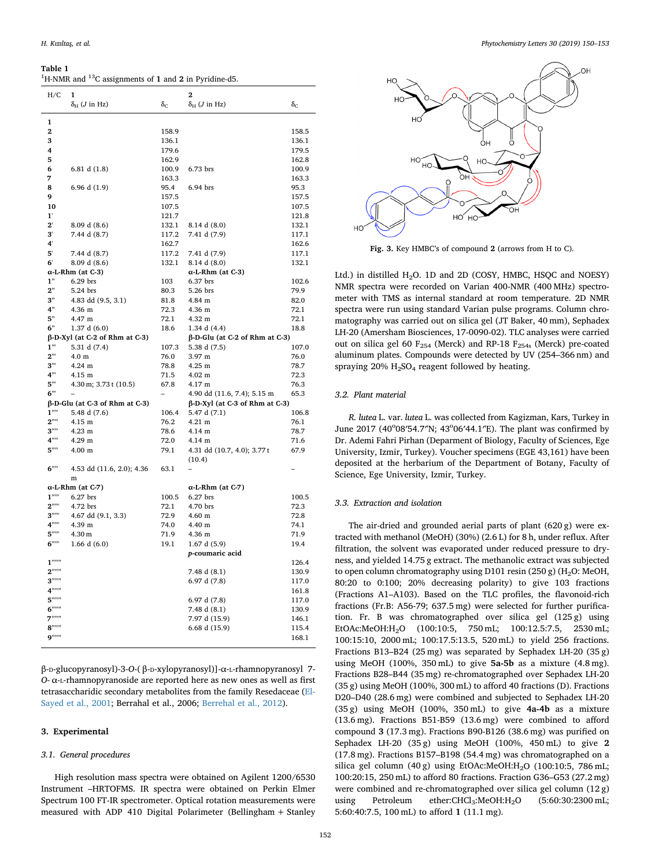#### <span id="page-2-0"></span>**Table 1**

| <sup>1</sup> H-NMR and <sup>13</sup> C assignments of 1 and 2 in Pyridine-d5. |  |
|-------------------------------------------------------------------------------|--|
|-------------------------------------------------------------------------------|--|

| H/C                                   | 1                                        |                  | $\overline{2}$                           |                  |
|---------------------------------------|------------------------------------------|------------------|------------------------------------------|------------------|
|                                       | $\delta_{\rm H}$ ( <i>J</i> in Hz)       | $\delta_{\rm C}$ | $\delta_{H}$ ( <i>J</i> in Hz)           | $\delta_{\rm C}$ |
|                                       |                                          |                  |                                          |                  |
| 1                                     |                                          |                  |                                          |                  |
| $\overline{2}$                        |                                          | 158.9            |                                          | 158.5            |
| 3                                     |                                          | 136.1            |                                          | 136.1            |
| 4                                     |                                          | 179.6            |                                          | 179.5            |
| 5                                     |                                          | 162.9            |                                          | 162.8            |
| 6                                     | 6.81 d $(1.8)$                           | 100.9            | 6.73 brs                                 | 100.9            |
| 7                                     |                                          | 163.3            |                                          | 163.3            |
| 8                                     | 6.96 d (1.9)                             | 95.4             | 6.94 brs                                 | 95.3             |
| 9                                     |                                          | 157.5            |                                          | 157.5            |
| 10                                    |                                          | 107.5            |                                          | 107.5            |
| 1'                                    |                                          | 121.7            |                                          | 121.8            |
| $2^{\prime}$                          | 8.09 d (8.6)                             | 132.1            | 8.14 d (8.0)                             | 132.1            |
| 3,                                    | 7.44 d (8.7)                             | 117.2            | 7.41 d (7.9)                             | 117.1            |
| 4 <sup>1</sup>                        |                                          | 162.7            |                                          | 162.6            |
| 5'<br>6'                              | 7.44 d (8.7)                             | 117.2            | 7.41 d (7.9)                             | 117.1            |
|                                       | 8.09 d (8.6)<br>$\alpha$ -L-Rhm (at C-3) | 132.1            | 8.14 d (8.0)<br>$\alpha$ -L-Rhm (at C-3) | 132.1            |
| 1"                                    | 6.29 brs                                 | 103              | 6.37 brs                                 | 102.6            |
| 2"                                    | 5.24 brs                                 | 80.3             | 5.26 brs                                 | 79.9             |
| 3"                                    | 4.83 dd (9.5, 3.1)                       | 81.8             | 4.84 m                                   | 82.0             |
| 4"                                    | 4.36 m                                   | 72.3             | 4.36 m                                   | 72.1             |
| 5"                                    | 4.47 m                                   | 72.1             | 4.32 m                                   | 72.1             |
| 6"                                    | 1.37 d (6.0)                             | 18.6             | 1.34 d (4.4)                             | 18.8             |
| $\beta$ -D-Xyl (at C-2 of Rhm at C-3) |                                          |                  | $\beta$ -D-Glu (at C-2 of Rhm at C-3)    |                  |
| 1"                                    | 5.31 d (7.4)                             | 107.3            | 5.38 d (7.5)                             | 107.0            |
| 2"                                    | 4.0 <sub>m</sub>                         | 76.0             | 3.97 m                                   | 76.0             |
| 3"                                    | $4.24 \text{ m}$                         | 78.8             | 4.25 m                                   | 78.7             |
| 4"                                    | $4.15$ m                                 | 71.5             | $4.02 \text{ m}$                         | 72.3             |
| 5"                                    | 4.30 m; 3.73 t (10.5)                    | 67.8             | 4.17 m                                   | 76.3             |
| 6"                                    |                                          |                  | 4.90 dd (11.6, 7.4); 5.15 m              | 65.3             |
| $\beta$ -D-Glu (at C-3 of Rhm at C-3) |                                          |                  | $\beta$ -D-Xyl (at C-3 of Rhm at C-3)    |                  |
| 1'''                                  | 5.48 d (7.6)                             | 106.4            | 5.47 d (7.1)                             | 106.8            |
| $2^{\prime\prime\prime\prime}$        | 4.15 m                                   | 76.2             | $4.21 \text{ m}$                         | 76.1             |
| 3'''                                  | $4.23$ m                                 | 78.6             | 4.14 m                                   | 78.7             |
| $4^{nn}$                              | 4.29 m                                   | 72.0             | $4.14 \text{ m}$                         | 71.6             |
| 5'''                                  | 4.00 <sub>m</sub>                        | 79.1             | 4.31 dd (10.7, 4.0); 3.77 t              | 67.9             |
|                                       |                                          |                  | (10.4)                                   |                  |
| $6$ ""                                | 4.53 dd (11.6, 2.0); 4.36                | 63.1             |                                          |                  |
|                                       | m                                        |                  |                                          |                  |
| $\alpha$ -L-Rhm (at C-7)              |                                          |                  | $\alpha$ -L-Rhm (at C-7)                 |                  |
| $1^{\prime\prime\prime\prime}$        | 6.27 brs                                 | 100.5            | 6.27 brs                                 | 100.5            |
| $2^{nm}$                              | 4.72 brs                                 | 72.1             | 4.70 brs                                 | 72.3             |
| 3''''                                 | 4.67 dd (9.1, 3.3)                       | 72.9             | $4.60$ m                                 | 72.8             |
| $4^{nm}$                              | 4.39 m                                   | 74.0             | 4.40 m                                   | 74.1             |
| 5''''<br>$6$ ""                       | 4.30 m                                   | 71.9             | 4.36 m                                   | 71.9             |
|                                       | 1.66 d $(6.0)$                           | 19.1             | 1.67 d(5.9)                              | 19.4             |
| $1$ ""                                |                                          |                  | p-coumaric acid                          | 126.4            |
| $2^{nm}$                              |                                          |                  | 7.48 d (8.1)                             | 130.9            |
| $3^{mn}$                              |                                          |                  | 6.97 d (7.8)                             | 117.0            |
| $4^{n n}$                             |                                          |                  |                                          | 161.8            |
| $5^{n n}$                             |                                          |                  | 6.97 d (7.8)                             | 117.0            |
| $6^{n m}$                             |                                          |                  | 7.48 d (8.1)                             | 130.9            |
| $7^{n n}$                             |                                          |                  | 7.97 d (15.9)                            | 146.1            |
| $8^{\dots}$                           |                                          |                  | 6.68 d (15.9)                            | 115.4            |
| $9$ ""                                |                                          |                  |                                          | 168.1            |
|                                       |                                          |                  |                                          |                  |

β-D-glucopyranosyl)-3-*O*-( β-D-xylopyranosyl)]-α-L-rhamnopyranosyl 7- *O*- α-L-rhamnopyranoside are reported here as new ones as well as first tetrasaccharidic secondary metabolites from the family Resedaceae [\(El-](#page-3-7)[Sayed et al., 2001;](#page-3-7) Berrahal et al., 2006; [Berrehal et al., 2012](#page-3-6)).

## **3. Experimental**

#### *3.1. General procedures*

High resolution mass spectra were obtained on Agilent 1200/6530 Instrument –HRTOFMS. IR spectra were obtained on Perkin Elmer Spectrum 100 FT-IR spectrometer. Optical rotation measurements were measured with ADP 410 Digital Polarimeter (Bellingham + Stanley

<span id="page-2-1"></span>

**Fig. 3.** Key HMBC's of compound **2** (arrows from H to C).

Ltd.) in distilled  $H_2O$ . 1D and 2D (COSY, HMBC, HSQC and NOESY) NMR spectra were recorded on Varian 400-NMR (400 MHz) spectrometer with TMS as internal standard at room temperature. 2D NMR spectra were run using standard Varian pulse programs. Column chromatography was carried out on silica gel (JT Baker, 40 mm), Sephadex LH-20 (Amersham Biosciences, 17-0090-02). TLC analyses were carried out on silica gel 60  $F_{254}$  (Merck) and RP-18  $F_{254s}$  (Merck) pre-coated aluminum plates. Compounds were detected by UV (254–366 nm) and spraying  $20\%$  H<sub>2</sub>SO<sub>4</sub> reagent followed by heating.

#### *3.2. Plant material*

*R. lutea* L. var. *lutea* L. was collected from Kagizman, Kars, Turkey in June 2017 (40°08'54.7"N; 43°06'44.1"E). The plant was confirmed by Dr. Ademi Fahri Pirhan (Deparment of Biology, Faculty of Sciences, Ege University, Izmir, Turkey). Voucher specimens (EGE 43,161) have been deposited at the herbarium of the Department of Botany, Faculty of Science, Ege University, Izmir, Turkey.

#### *3.3. Extraction and isolation*

The air-dried and grounded aerial parts of plant (620 g) were extracted with methanol (MeOH) (30%) (2.6 L) for 8 h, under reflux. After filtration, the solvent was evaporated under reduced pressure to dryness, and yielded 14.75 g extract. The methanolic extract was subjected to open column chromatography using D101 resin (250 g) ( $H<sub>2</sub>O$ : MeOH, 80:20 to 0:100; 20% decreasing polarity) to give 103 fractions (Fractions A1–A103). Based on the TLC profiles, the flavonoid-rich fractions (Fr.B: A56-79; 637.5 mg) were selected for further purification. Fr. B was chromatographed over silica gel (125 g) using EtOAc:MeOH:H<sub>2</sub>O (100:10:5, 750 mL; 100:12.5:7.5, 2530 mL; 100:15:10, 2000 mL; 100:17.5:13.5, 520 mL) to yield 256 fractions. Fractions B13–B24 (25 mg) was separated by Sephadex LH-20 (35 g) using MeOH (100%, 350 mL) to give **5a-5b** as a mixture (4.8 mg). Fractions B28–B44 (35 mg) re-chromatographed over Sephadex LH-20 (35 g) using MeOH (100%, 300 mL) to afford 40 fractions (D). Fractions D20–D40 (28.6 mg) were combined and subjected to Sephadex LH-20 (35 g) using MeOH (100%, 350 mL) to give **4a-4b** as a mixture (13.6 mg). Fractions B51-B59 (13.6 mg) were combined to afford compound **3** (17.3 mg). Fractions B90-B126 (38.6 mg) was purified on Sephadex LH-20 (35 g) using MeOH (100%, 450 mL) to give **2** (17.8 mg). Fractions B157–B198 (54.4 mg) was chromatographed on a silica gel column (40 g) using EtOAc:MeOH:H<sub>2</sub>O (100:10:5, 786 mL; 100:20:15, 250 mL) to afford 80 fractions. Fraction G36–G53 (27.2 mg) were combined and re-chromatographed over silica gel column (12 g) using Petroleum ether:CHCl<sub>3</sub>:MeOH:H<sub>2</sub>O (5:60:30:2300 mL; 5:60:40:7.5, 100 mL) to afford **1** (11.1 mg).